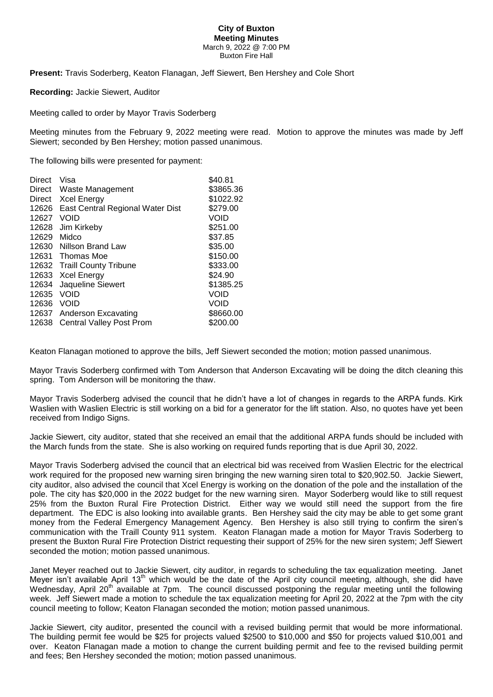## **City of Buxton Meeting Minutes** March 9, 2022 @ 7:00 PM Buxton Fire Hall

**Present:** Travis Soderberg, Keaton Flanagan, Jeff Siewert, Ben Hershey and Cole Short

**Recording:** Jackie Siewert, Auditor

Meeting called to order by Mayor Travis Soderberg

Meeting minutes from the February 9, 2022 meeting were read. Motion to approve the minutes was made by Jeff Siewert; seconded by Ben Hershey; motion passed unanimous.

The following bills were presented for payment:

| Visa                             | \$40.81   |
|----------------------------------|-----------|
| Waste Management                 | \$3865.36 |
| <b>Xcel Energy</b>               | \$1022.92 |
| East Central Regional Water Dist | \$279.00  |
| VOID                             | Void      |
| Jim Kirkeby                      | \$251.00  |
| Midco                            | \$37.85   |
| 12630<br>Nillson Brand Law       | \$35.00   |
| Thomas Moe                       | \$150.00  |
| <b>Traill County Tribune</b>     | \$333.00  |
| <b>Xcel Energy</b>               | \$24.90   |
| Jaqueline Siewert                | \$1385.25 |
| VOID                             | VOID      |
| <b>VOID</b>                      | VOID      |
| Anderson Excavating              | \$8660.00 |
| <b>Central Valley Post Prom</b>  | \$200.00  |
|                                  |           |

Keaton Flanagan motioned to approve the bills, Jeff Siewert seconded the motion; motion passed unanimous.

Mayor Travis Soderberg confirmed with Tom Anderson that Anderson Excavating will be doing the ditch cleaning this spring. Tom Anderson will be monitoring the thaw.

Mayor Travis Soderberg advised the council that he didn't have a lot of changes in regards to the ARPA funds. Kirk Waslien with Waslien Electric is still working on a bid for a generator for the lift station. Also, no quotes have yet been received from Indigo Signs.

Jackie Siewert, city auditor, stated that she received an email that the additional ARPA funds should be included with the March funds from the state. She is also working on required funds reporting that is due April 30, 2022.

Mayor Travis Soderberg advised the council that an electrical bid was received from Waslien Electric for the electrical work required for the proposed new warning siren bringing the new warning siren total to \$20,902.50. Jackie Siewert, city auditor, also advised the council that Xcel Energy is working on the donation of the pole and the installation of the pole. The city has \$20,000 in the 2022 budget for the new warning siren. Mayor Soderberg would like to still request 25% from the Buxton Rural Fire Protection District. Either way we would still need the support from the fire department. The EDC is also looking into available grants. Ben Hershey said the city may be able to get some grant money from the Federal Emergency Management Agency. Ben Hershey is also still trying to confirm the siren's communication with the Traill County 911 system. Keaton Flanagan made a motion for Mayor Travis Soderberg to present the Buxton Rural Fire Protection District requesting their support of 25% for the new siren system; Jeff Siewert seconded the motion; motion passed unanimous.

Janet Meyer reached out to Jackie Siewert, city auditor, in regards to scheduling the tax equalization meeting. Janet Meyer isn't available April 13<sup>th</sup> which would be the date of the April city council meeting, although, she did have Wednesday, April 20<sup>th</sup> available at 7pm. The council discussed postponing the regular meeting until the following week. Jeff Siewert made a motion to schedule the tax equalization meeting for April 20, 2022 at the 7pm with the city council meeting to follow; Keaton Flanagan seconded the motion; motion passed unanimous.

Jackie Siewert, city auditor, presented the council with a revised building permit that would be more informational. The building permit fee would be \$25 for projects valued \$2500 to \$10,000 and \$50 for projects valued \$10,001 and over. Keaton Flanagan made a motion to change the current building permit and fee to the revised building permit and fees; Ben Hershey seconded the motion; motion passed unanimous.